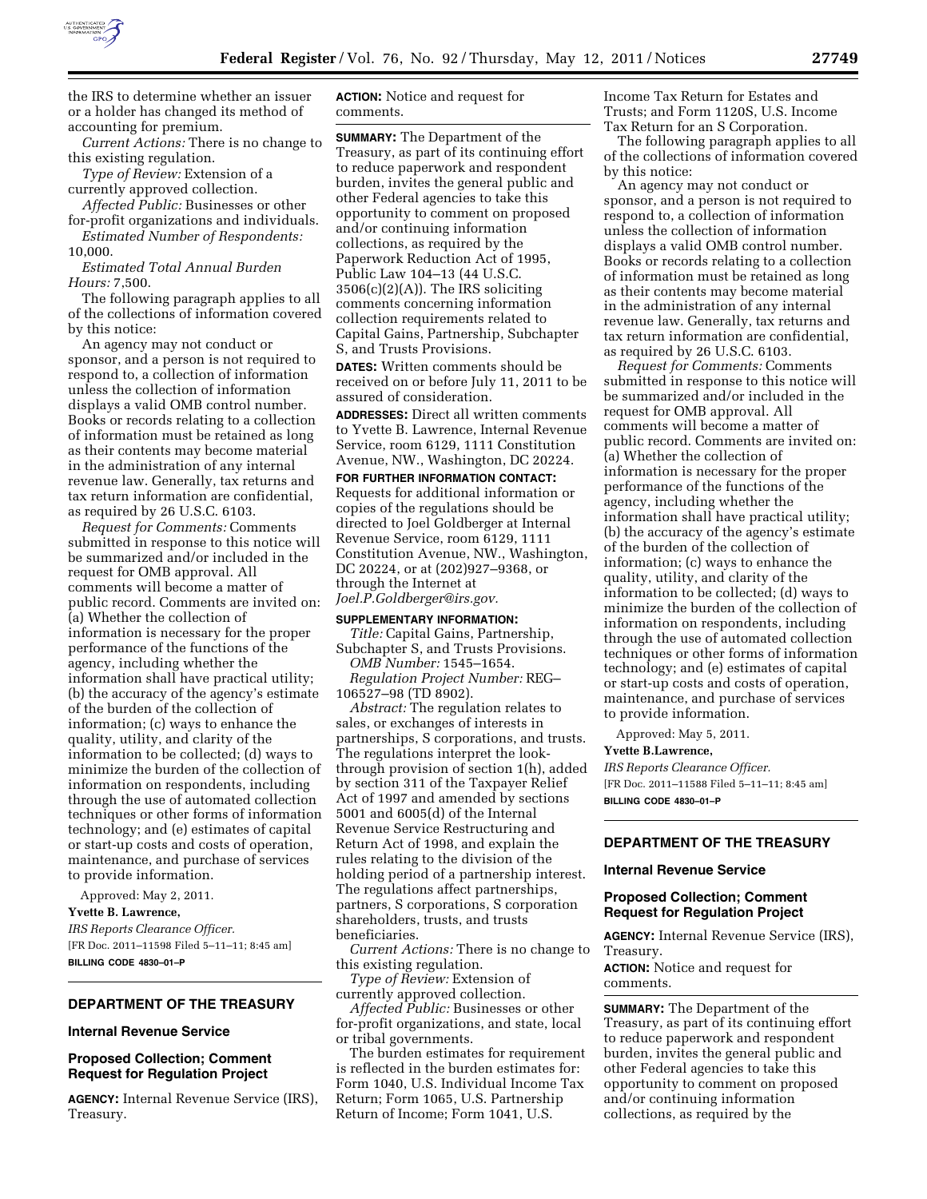

the IRS to determine whether an issuer or a holder has changed its method of accounting for premium.

*Current Actions:* There is no change to this existing regulation.

*Type of Review:* Extension of a currently approved collection.

*Affected Public:* Businesses or other for-profit organizations and individuals. *Estimated Number of Respondents:* 

10,000.

*Estimated Total Annual Burden Hours:* 7,500.

The following paragraph applies to all of the collections of information covered by this notice:

An agency may not conduct or sponsor, and a person is not required to respond to, a collection of information unless the collection of information displays a valid OMB control number. Books or records relating to a collection of information must be retained as long as their contents may become material in the administration of any internal revenue law. Generally, tax returns and tax return information are confidential, as required by 26 U.S.C. 6103.

*Request for Comments:* Comments submitted in response to this notice will be summarized and/or included in the request for OMB approval. All comments will become a matter of public record. Comments are invited on: (a) Whether the collection of information is necessary for the proper performance of the functions of the agency, including whether the information shall have practical utility; (b) the accuracy of the agency's estimate of the burden of the collection of information; (c) ways to enhance the quality, utility, and clarity of the information to be collected; (d) ways to minimize the burden of the collection of information on respondents, including through the use of automated collection techniques or other forms of information technology; and (e) estimates of capital or start-up costs and costs of operation, maintenance, and purchase of services to provide information.

Approved: May 2, 2011.

**Yvette B. Lawrence,**  *IRS Reports Clearance Officer.*  [FR Doc. 2011–11598 Filed 5–11–11; 8:45 am] **BILLING CODE 4830–01–P** 

# **DEPARTMENT OF THE TREASURY**

### **Internal Revenue Service**

## **Proposed Collection; Comment Request for Regulation Project**

**AGENCY:** Internal Revenue Service (IRS), Treasury.

**ACTION:** Notice and request for comments.

**SUMMARY:** The Department of the Treasury, as part of its continuing effort to reduce paperwork and respondent burden, invites the general public and other Federal agencies to take this opportunity to comment on proposed and/or continuing information collections, as required by the Paperwork Reduction Act of 1995, Public Law 104–13 (44 U.S.C.  $3506(c)(2)(A)$ . The IRS soliciting comments concerning information collection requirements related to Capital Gains, Partnership, Subchapter S, and Trusts Provisions.

**DATES:** Written comments should be received on or before July 11, 2011 to be assured of consideration.

**ADDRESSES:** Direct all written comments to Yvette B. Lawrence, Internal Revenue Service, room 6129, 1111 Constitution Avenue, NW., Washington, DC 20224.

**FOR FURTHER INFORMATION CONTACT:**  Requests for additional information or copies of the regulations should be directed to Joel Goldberger at Internal Revenue Service, room 6129, 1111 Constitution Avenue, NW., Washington, DC 20224, or at (202)927–9368, or through the Internet at *[Joel.P.Goldberger@irs.gov.](mailto:Joel.P.Goldberger@irs.gov)* 

#### **SUPPLEMENTARY INFORMATION:**

*Title:* Capital Gains, Partnership, Subchapter S, and Trusts Provisions.

*OMB Number:* 1545–1654. *Regulation Project Number:* REG– 106527–98 (TD 8902).

*Abstract:* The regulation relates to sales, or exchanges of interests in partnerships, S corporations, and trusts. The regulations interpret the lookthrough provision of section 1(h), added by section 311 of the Taxpayer Relief Act of 1997 and amended by sections 5001 and 6005(d) of the Internal Revenue Service Restructuring and Return Act of 1998, and explain the rules relating to the division of the holding period of a partnership interest. The regulations affect partnerships, partners, S corporations, S corporation shareholders, trusts, and trusts beneficiaries.

*Current Actions:* There is no change to this existing regulation.

*Type of Review:* Extension of currently approved collection.

*Affected Public:* Businesses or other for-profit organizations, and state, local or tribal governments.

The burden estimates for requirement is reflected in the burden estimates for: Form 1040, U.S. Individual Income Tax Return; Form 1065, U.S. Partnership Return of Income; Form 1041, U.S.

Income Tax Return for Estates and Trusts; and Form 1120S, U.S. Income Tax Return for an S Corporation.

The following paragraph applies to all of the collections of information covered by this notice:

An agency may not conduct or sponsor, and a person is not required to respond to, a collection of information unless the collection of information displays a valid OMB control number. Books or records relating to a collection of information must be retained as long as their contents may become material in the administration of any internal revenue law. Generally, tax returns and tax return information are confidential, as required by 26 U.S.C. 6103.

*Request for Comments:* Comments submitted in response to this notice will be summarized and/or included in the request for OMB approval. All comments will become a matter of public record. Comments are invited on: (a) Whether the collection of information is necessary for the proper performance of the functions of the agency, including whether the information shall have practical utility; (b) the accuracy of the agency's estimate of the burden of the collection of information; (c) ways to enhance the quality, utility, and clarity of the information to be collected; (d) ways to minimize the burden of the collection of information on respondents, including through the use of automated collection techniques or other forms of information technology; and (e) estimates of capital or start-up costs and costs of operation, maintenance, and purchase of services to provide information.

Approved: May 5, 2011.

### **Yvette B.Lawrence,**

*IRS Reports Clearance Officer.*  [FR Doc. 2011–11588 Filed 5–11–11; 8:45 am] **BILLING CODE 4830–01–P** 

### **DEPARTMENT OF THE TREASURY**

#### **Internal Revenue Service**

#### **Proposed Collection; Comment Request for Regulation Project**

**AGENCY:** Internal Revenue Service (IRS), Treasury.

**ACTION:** Notice and request for comments.

**SUMMARY:** The Department of the Treasury, as part of its continuing effort to reduce paperwork and respondent burden, invites the general public and other Federal agencies to take this opportunity to comment on proposed and/or continuing information collections, as required by the